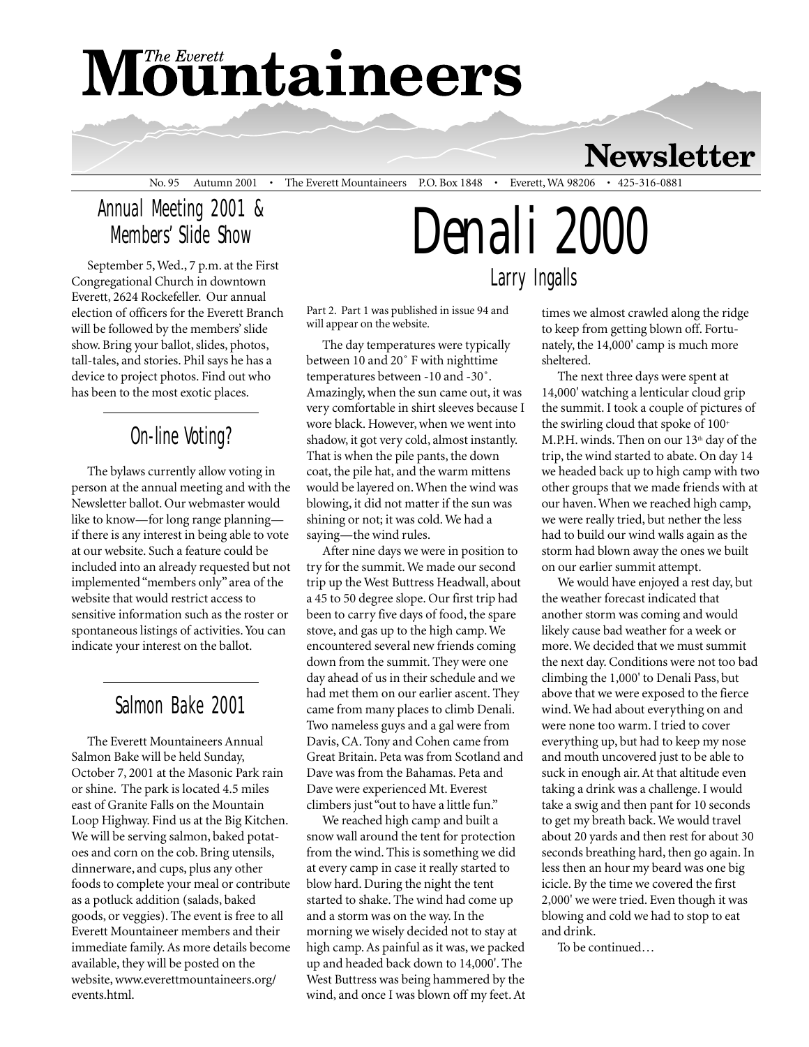# **Mountaineers**

### **Newsletter**

No. 95 Autumn 2001 • The Everett Mountaineers P.O. Box 1848 • Everett, WA 98206 • 425-316-0881

#### Annual Meeting 2001 & Members' Slide Show

September 5, Wed., 7 p.m. at the First Congregational Church in downtown Everett, 2624 Rockefeller. Our annual election of officers for the Everett Branch will be followed by the members' slide show. Bring your ballot, slides, photos, tall-tales, and stories. Phil says he has a device to project photos. Find out who has been to the most exotic places.

#### On-line Voting?

The bylaws currently allow voting in person at the annual meeting and with the Newsletter ballot. Our webmaster would like to know—for long range planning if there is any interest in being able to vote at our website. Such a feature could be included into an already requested but not implemented "members only" area of the website that would restrict access to sensitive information such as the roster or spontaneous listings of activities. You can indicate your interest on the ballot.

#### Salmon Bake 2001

The Everett Mountaineers Annual Salmon Bake will be held Sunday, October 7, 2001 at the Masonic Park rain or shine. The park is located 4.5 miles east of Granite Falls on the Mountain Loop Highway. Find us at the Big Kitchen. We will be serving salmon, baked potatoes and corn on the cob. Bring utensils, dinnerware, and cups, plus any other foods to complete your meal or contribute as a potluck addition (salads, baked goods, or veggies). The event is free to all Everett Mountaineer members and their immediate family. As more details become available, they will be posted on the website, www.everettmountaineers.org/ events.html.

## *Denali 2000* Larry Ingalls

Part 2. Part 1 was published in issue 94 and will appear on the website.

The day temperatures were typically between 10 and 20˚ F with nighttime temperatures between -10 and -30˚. Amazingly, when the sun came out, it was very comfortable in shirt sleeves because I wore black. However, when we went into shadow, it got very cold, almost instantly. That is when the pile pants, the down coat, the pile hat, and the warm mittens would be layered on. When the wind was blowing, it did not matter if the sun was shining or not; it was cold. We had a saying—the wind rules.

After nine days we were in position to try for the summit. We made our second trip up the West Buttress Headwall, about a 45 to 50 degree slope. Our first trip had been to carry five days of food, the spare stove, and gas up to the high camp. We encountered several new friends coming down from the summit. They were one day ahead of us in their schedule and we had met them on our earlier ascent. They came from many places to climb Denali. Two nameless guys and a gal were from Davis, CA. Tony and Cohen came from Great Britain. Peta was from Scotland and Dave was from the Bahamas. Peta and Dave were experienced Mt. Everest climbers just "out to have a little fun."

We reached high camp and built a snow wall around the tent for protection from the wind. This is something we did at every camp in case it really started to blow hard. During the night the tent started to shake. The wind had come up and a storm was on the way. In the morning we wisely decided not to stay at high camp. As painful as it was, we packed up and headed back down to 14,000'. The West Buttress was being hammered by the wind, and once I was blown off my feet. At times we almost crawled along the ridge to keep from getting blown off. Fortunately, the 14,000' camp is much more sheltered.

The next three days were spent at 14,000' watching a lenticular cloud grip the summit. I took a couple of pictures of the swirling cloud that spoke of  $100^+$ M.P.H. winds. Then on our 13<sup>th</sup> day of the trip, the wind started to abate. On day 14 we headed back up to high camp with two other groups that we made friends with at our haven. When we reached high camp, we were really tried, but nether the less had to build our wind walls again as the storm had blown away the ones we built on our earlier summit attempt.

We would have enjoyed a rest day, but the weather forecast indicated that another storm was coming and would likely cause bad weather for a week or more. We decided that we must summit the next day. Conditions were not too bad climbing the 1,000' to Denali Pass, but above that we were exposed to the fierce wind. We had about everything on and were none too warm. I tried to cover everything up, but had to keep my nose and mouth uncovered just to be able to suck in enough air. At that altitude even taking a drink was a challenge. I would take a swig and then pant for 10 seconds to get my breath back. We would travel about 20 yards and then rest for about 30 seconds breathing hard, then go again. In less then an hour my beard was one big icicle. By the time we covered the first 2,000' we were tried. Even though it was blowing and cold we had to stop to eat and drink.

To be continued…